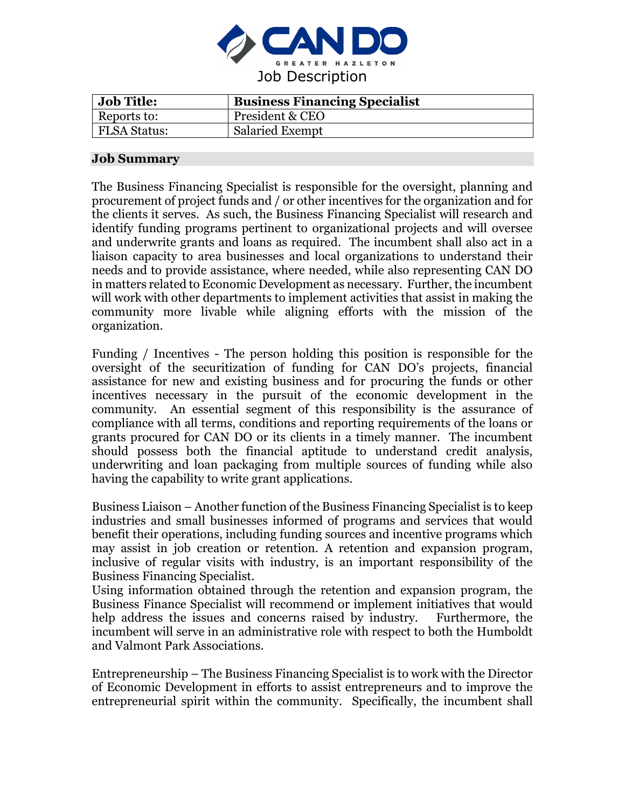

| <b>Job Title:</b>   | <b>Business Financing Specialist</b> |
|---------------------|--------------------------------------|
| Reports to:         | President & CEO                      |
| <b>FLSA Status:</b> | <b>Salaried Exempt</b>               |

#### **Job Summary**

The Business Financing Specialist is responsible for the oversight, planning and procurement of project funds and / or other incentives for the organization and for the clients it serves. As such, the Business Financing Specialist will research and identify funding programs pertinent to organizational projects and will oversee and underwrite grants and loans as required. The incumbent shall also act in a liaison capacity to area businesses and local organizations to understand their needs and to provide assistance, where needed, while also representing CAN DO in matters related to Economic Development as necessary. Further, the incumbent will work with other departments to implement activities that assist in making the community more livable while aligning efforts with the mission of the organization.

Funding / Incentives - The person holding this position is responsible for the oversight of the securitization of funding for CAN DO's projects, financial assistance for new and existing business and for procuring the funds or other incentives necessary in the pursuit of the economic development in the community. An essential segment of this responsibility is the assurance of compliance with all terms, conditions and reporting requirements of the loans or grants procured for CAN DO or its clients in a timely manner. The incumbent should possess both the financial aptitude to understand credit analysis, underwriting and loan packaging from multiple sources of funding while also having the capability to write grant applications.

Business Liaison – Another function of the Business Financing Specialist is to keep industries and small businesses informed of programs and services that would benefit their operations, including funding sources and incentive programs which may assist in job creation or retention. A retention and expansion program, inclusive of regular visits with industry, is an important responsibility of the Business Financing Specialist.

Using information obtained through the retention and expansion program, the Business Finance Specialist will recommend or implement initiatives that would help address the issues and concerns raised by industry. Furthermore, the incumbent will serve in an administrative role with respect to both the Humboldt and Valmont Park Associations.

Entrepreneurship – The Business Financing Specialist is to work with the Director of Economic Development in efforts to assist entrepreneurs and to improve the entrepreneurial spirit within the community. Specifically, the incumbent shall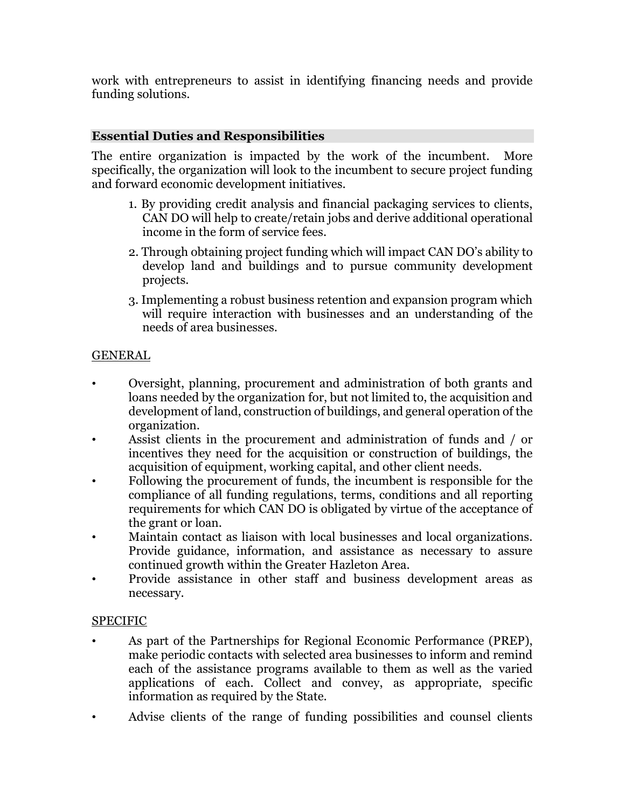work with entrepreneurs to assist in identifying financing needs and provide funding solutions.

## **Essential Duties and Responsibilities**

The entire organization is impacted by the work of the incumbent. More specifically, the organization will look to the incumbent to secure project funding and forward economic development initiatives.

- 1. By providing credit analysis and financial packaging services to clients, CAN DO will help to create/retain jobs and derive additional operational income in the form of service fees.
- 2. Through obtaining project funding which will impact CAN DO's ability to develop land and buildings and to pursue community development projects.
- 3. Implementing a robust business retention and expansion program which will require interaction with businesses and an understanding of the needs of area businesses.

# GENERAL

- Oversight, planning, procurement and administration of both grants and loans needed by the organization for, but not limited to, the acquisition and development of land, construction of buildings, and general operation of the organization.
- Assist clients in the procurement and administration of funds and / or incentives they need for the acquisition or construction of buildings, the acquisition of equipment, working capital, and other client needs.
- Following the procurement of funds, the incumbent is responsible for the compliance of all funding regulations, terms, conditions and all reporting requirements for which CAN DO is obligated by virtue of the acceptance of the grant or loan.
- Maintain contact as liaison with local businesses and local organizations. Provide guidance, information, and assistance as necessary to assure continued growth within the Greater Hazleton Area.
- Provide assistance in other staff and business development areas as necessary.

# SPECIFIC

- As part of the Partnerships for Regional Economic Performance (PREP), make periodic contacts with selected area businesses to inform and remind each of the assistance programs available to them as well as the varied applications of each. Collect and convey, as appropriate, specific information as required by the State.
- Advise clients of the range of funding possibilities and counsel clients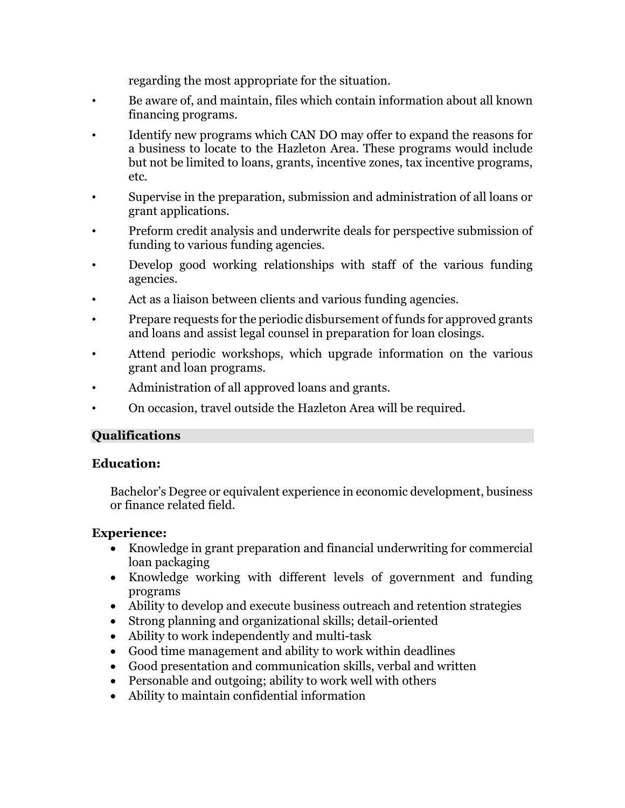regarding the most appropriate for the situation.

- Be aware of, and maintain, files which contain information about all known financing programs.
- Identify new programs which CAN DO may offer to expand the reasons for a business to locate to the Hazleton Area. These programs would include but not be limited to loans, grants, incentive zones, tax incentive programs, etc.
- Supervise in the preparation, submission and administration of all loans or grant applications.
- Preform credit analysis and underwrite deals for perspective submission of funding to various funding agencies.
- Develop good working relationships with staff of the various funding agencies.
- Act as a liaison between clients and various funding agencies.
- Prepare requests for the periodic disbursement of funds for approved grants and loans and assist legal counsel in preparation for loan closings.
- Attend periodic workshops, which upgrade information on the various grant and loan programs.
- Administration of all approved loans and grants.
- On occasion, travel outside the Hazleton Area will be required.

## **Qualifications**

## **Education:**

Bachelor's Degree or equivalent experience in economic development, business or finance related field.

## **Experience:**

- Knowledge in grant preparation and financial underwriting for commercial loan packaging
- Knowledge working with different levels of government and funding programs
- Ability to develop and execute business outreach and retention strategies
- Strong planning and organizational skills; detail-oriented
- Ability to work independently and multi-task
- Good time management and ability to work within deadlines
- Good presentation and communication skills, verbal and written
- Personable and outgoing; ability to work well with others
- Ability to maintain confidential information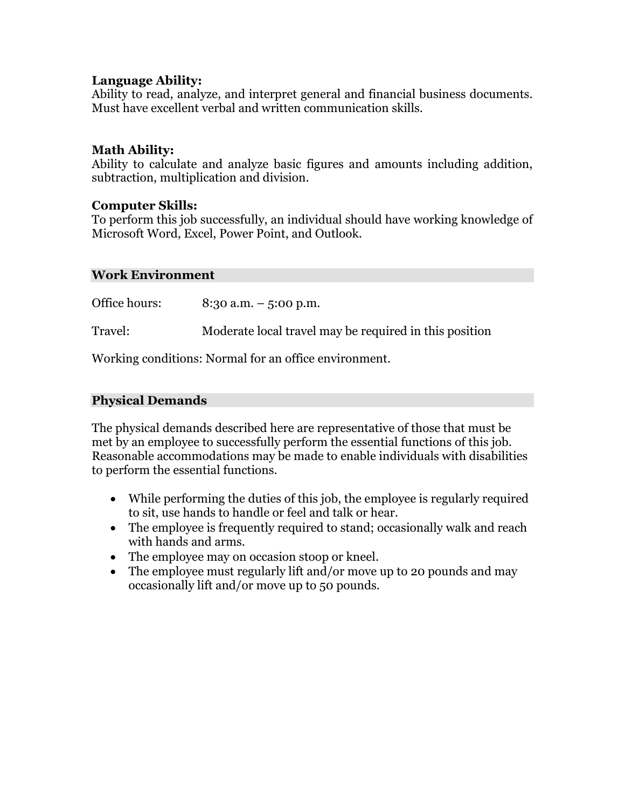#### **Language Ability:**

Ability to read, analyze, and interpret general and financial business documents. Must have excellent verbal and written communication skills.

#### **Math Ability:**

Ability to calculate and analyze basic figures and amounts including addition, subtraction, multiplication and division.

#### **Computer Skills:**

To perform this job successfully, an individual should have working knowledge of Microsoft Word, Excel, Power Point, and Outlook.

#### **Work Environment**

Office hours: 8:30 a.m. – 5:00 p.m. Travel: Moderate local travel may be required in this position

Working conditions: Normal for an office environment.

#### **Physical Demands**

The physical demands described here are representative of those that must be met by an employee to successfully perform the essential functions of this job. Reasonable accommodations may be made to enable individuals with disabilities to perform the essential functions.

- While performing the duties of this job, the employee is regularly required to sit, use hands to handle or feel and talk or hear.
- The employee is frequently required to stand; occasionally walk and reach with hands and arms.
- The employee may on occasion stoop or kneel.
- The employee must regularly lift and/or move up to 20 pounds and may occasionally lift and/or move up to 50 pounds.